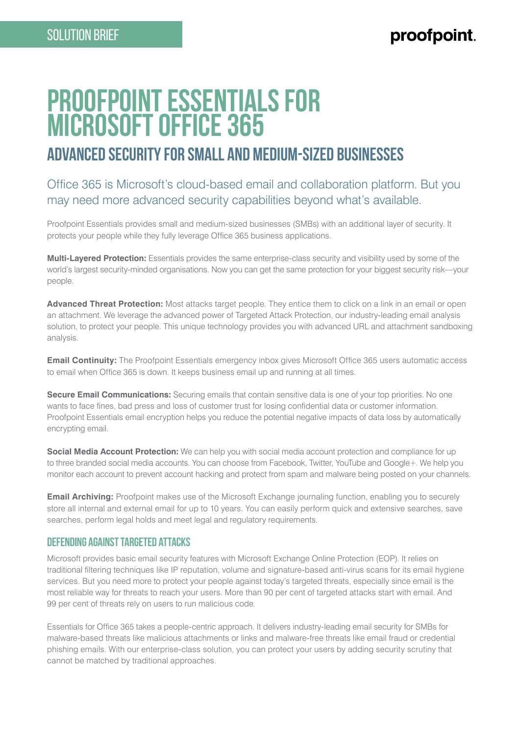# **Proofpoint Essentials for Microsoft Office 365**

## **advanced security for Small and Medium-Sized Businesses**

### Office 365 is Microsoft's cloud-based email and collaboration platform. But you may need more advanced security capabilities beyond what's available.

Proofpoint Essentials provides small and medium-sized businesses (SMBs) with an additional layer of security. It protects your people while they fully leverage Office 365 business applications.

**Multi-Layered Protection:** Essentials provides the same enterprise-class security and visibility used by some of the world's largest security-minded organisations. Now you can get the same protection for your biggest security risk—your people.

**Advanced Threat Protection:** Most attacks target people. They entice them to click on a link in an email or open an attachment. We leverage the advanced power of Targeted Attack Protection, our industry-leading email analysis solution, to protect your people. This unique technology provides you with advanced URL and attachment sandboxing analysis.

**Email Continuity:** The Proofpoint Essentials emergency inbox gives Microsoft Office 365 users automatic access to email when Office 365 is down. It keeps business email up and running at all times.

**Secure Email Communications:** Securing emails that contain sensitive data is one of your top priorities. No one wants to face fines, bad press and loss of customer trust for losing confidential data or customer information. Proofpoint Essentials email encryption helps you reduce the potential negative impacts of data loss by automatically encrypting email.

**Social Media Account Protection:** We can help you with social media account protection and compliance for up to three branded social media accounts. You can choose from Facebook, Twitter, YouTube and Google+. We help you monitor each account to prevent account hacking and protect from spam and malware being posted on your channels.

**Email Archiving:** Proofpoint makes use of the Microsoft Exchange journaling function, enabling you to securely store all internal and external email for up to 10 years. You can easily perform quick and extensive searches, save searches, perform legal holds and meet legal and regulatory requirements.

#### **Defending Against Targeted Attacks**

Microsoft provides basic email security features with Microsoft Exchange Online Protection (EOP). It relies on traditional filtering techniques like IP reputation, volume and signature-based anti-virus scans for its email hygiene services. But you need more to protect your people against today's targeted threats, especially since email is the most reliable way for threats to reach your users. More than 90 per cent of targeted attacks start with email. And 99 per cent of threats rely on users to run malicious code.

Essentials for Office 365 takes a people-centric approach. It delivers industry-leading email security for SMBs for malware-based threats like malicious attachments or links and malware-free threats like email fraud or credential phishing emails. With our enterprise-class solution, you can protect your users by adding security scrutiny that cannot be matched by traditional approaches.